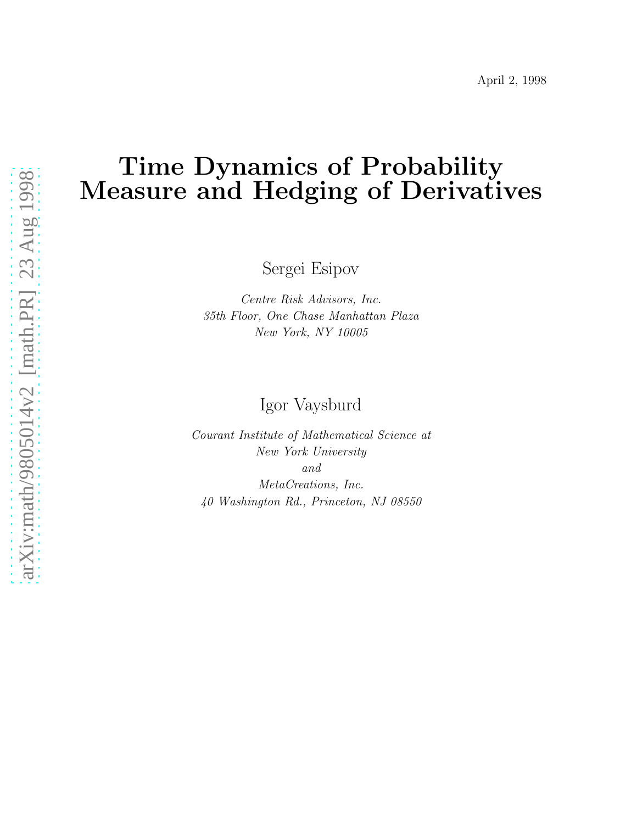# Time Dynamics of Probability Measure and Hedging of Derivatives

Sergei Esipov

Centre Risk Advisors, Inc. 35th Floor, One Chase Manhattan Plaza New York, NY 10005

Igor Vaysburd

Courant Institute of Mathematical Science at New York University and MetaCreations, Inc. 40 Washington Rd., Princeton, NJ 08550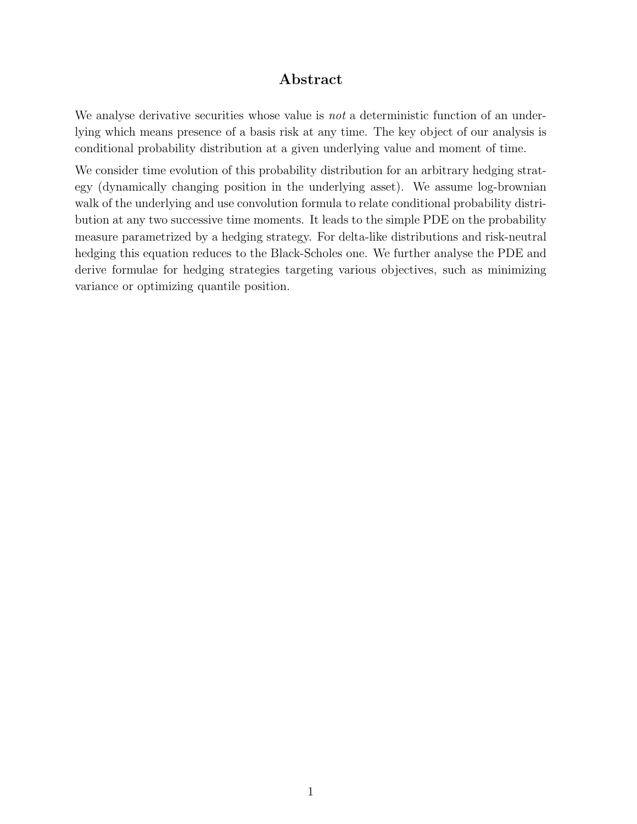### Abstract

We analyse derivative securities whose value is *not* a deterministic function of an underlying which means presence of a basis risk at any time. The key object of our analysis is conditional probability distribution at a given underlying value and moment of time.

We consider time evolution of this probability distribution for an arbitrary hedging strategy (dynamically changing position in the underlying asset). We assume log-brownian walk of the underlying and use convolution formula to relate conditional probability distribution at any two successive time moments. It leads to the simple PDE on the probability measure parametrized by a hedging strategy. For delta-like distributions and risk-neutral hedging this equation reduces to the Black-Scholes one. We further analyse the PDE and derive formulae for hedging strategies targeting various objectives, such as minimizing variance or optimizing quantile position.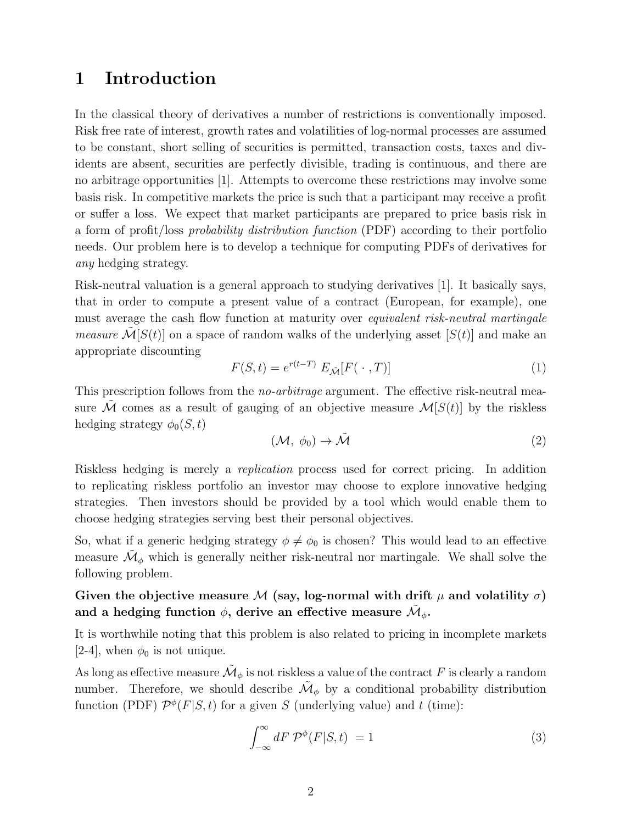## 1 Introduction

In the classical theory of derivatives a number of restrictions is conventionally imposed. Risk free rate of interest, growth rates and volatilities of log-normal processes are assumed to be constant, short selling of securities is permitted, transaction costs, taxes and dividents are absent, securities are perfectly divisible, trading is continuous, and there are no arbitrage opportunities [1]. Attempts to overcome these restrictions may involve some basis risk. In competitive markets the price is such that a participant may receive a profit or suffer a loss. We expect that market participants are prepared to price basis risk in a form of profit/loss probability distribution function (PDF) according to their portfolio needs. Our problem here is to develop a technique for computing PDFs of derivatives for any hedging strategy.

Risk-neutral valuation is a general approach to studying derivatives [1]. It basically says, that in order to compute a present value of a contract (European, for example), one must average the cash flow function at maturity over *equivalent risk-neutral martingale measure*  $\mathcal{M}[S(t)]$  on a space of random walks of the underlying asset  $[S(t)]$  and make an appropriate discounting

$$
F(S,t) = e^{r(t-T)} E_{\tilde{\mathcal{M}}}[F(\cdot, T)] \tag{1}
$$

This prescription follows from the *no-arbitrage* argument. The effective risk-neutral measure  $\mathcal M$  comes as a result of gauging of an objective measure  $\mathcal M[S(t)]$  by the riskless hedging strategy  $\phi_0(S, t)$ 

$$
(\mathcal{M}, \phi_0) \to \tilde{\mathcal{M}} \tag{2}
$$

Riskless hedging is merely a replication process used for correct pricing. In addition to replicating riskless portfolio an investor may choose to explore innovative hedging strategies. Then investors should be provided by a tool which would enable them to choose hedging strategies serving best their personal objectives.

So, what if a generic hedging strategy  $\phi \neq \phi_0$  is chosen? This would lead to an effective measure  $\tilde{\mathcal{M}}_{\phi}$  which is generally neither risk-neutral nor martingale. We shall solve the following problem.

## Given the objective measure M (say, log-normal with drift  $\mu$  and volatility  $\sigma$ ) and a hedging function  $\phi,$  derive an effective measure  $\tilde{\mathcal{M}}_{\phi}.$

It is worthwhile noting that this problem is also related to pricing in incomplete markets [2-4], when  $\phi_0$  is not unique.

As long as effective measure  $\tilde{\mathcal{M}}_{\phi}$  is not riskless a value of the contract  $F$  is clearly a random number. Therefore, we should describe  $\tilde{\mathcal{M}}_{\phi}$  by a conditional probability distribution function (PDF)  $\mathcal{P}^{\phi}(F|S,t)$  for a given S (underlying value) and t (time):

$$
\int_{-\infty}^{\infty} dF \, \mathcal{P}^{\phi}(F|S,t) = 1 \tag{3}
$$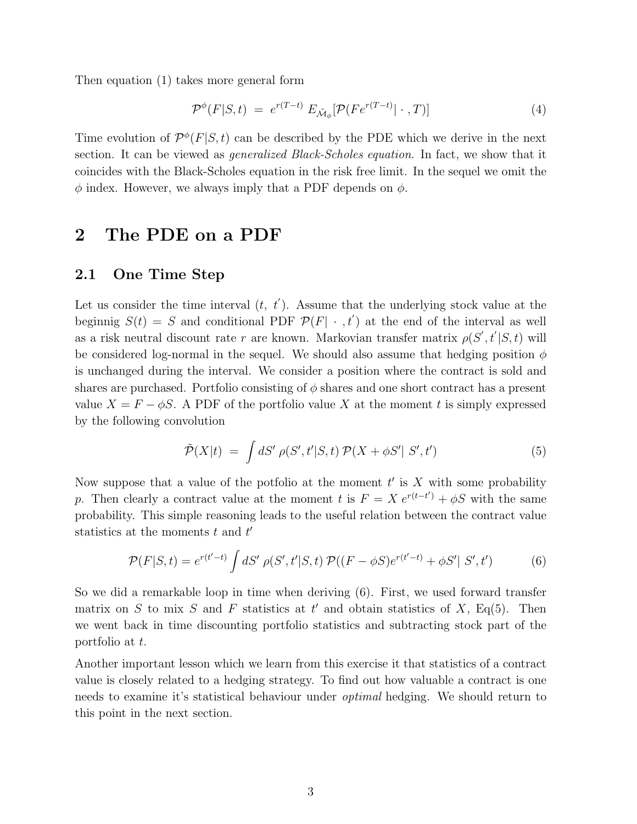Then equation (1) takes more general form

$$
\mathcal{P}^{\phi}(F|S,t) = e^{r(T-t)} E_{\tilde{\mathcal{M}}_{\phi}}[\mathcal{P}(F e^{r(T-t)} | \cdot, T)] \tag{4}
$$

Time evolution of  $\mathcal{P}^{\phi}(F|S,t)$  can be described by the PDE which we derive in the next section. It can be viewed as *generalized Black-Scholes equation*. In fact, we show that it coincides with the Black-Scholes equation in the risk free limit. In the sequel we omit the  $\phi$  index. However, we always imply that a PDF depends on  $\phi$ .

## 2 The PDE on a PDF

#### 2.1 One Time Step

Let us consider the time interval  $(t, t')$ . Assume that the underlying stock value at the beginnig  $S(t) = S$  and conditional PDF  $\mathcal{P}(F | \cdot, t')$  at the end of the interval as well as a risk neutral discount rate r are known. Markovian transfer matrix  $\rho(S', t'|S, t)$  will be considered log-normal in the sequel. We should also assume that hedging position  $\phi$ is unchanged during the interval. We consider a position where the contract is sold and shares are purchased. Portfolio consisting of  $\phi$  shares and one short contract has a present value  $X = F - \phi S$ . A PDF of the portfolio value X at the moment t is simply expressed by the following convolution

$$
\tilde{\mathcal{P}}(X|t) = \int dS' \; \rho(S', t'|S, t) \; \mathcal{P}(X + \phi S'|S', t') \tag{5}
$$

Now suppose that a value of the potfolio at the moment  $t'$  is  $X$  with some probability p. Then clearly a contract value at the moment t is  $F = X e^{r(t-t')} + \phi S$  with the same probability. This simple reasoning leads to the useful relation between the contract value statistics at the moments  $t$  and  $t'$ 

$$
\mathcal{P}(F|S,t) = e^{r(t'-t)} \int dS' \, \rho(S',t'|S,t) \, \mathcal{P}((F-\phi S)e^{r(t'-t)} + \phi S' | S',t') \tag{6}
$$

So we did a remarkable loop in time when deriving (6). First, we used forward transfer matrix on S to mix S and F statistics at t' and obtain statistics of X, Eq(5). Then we went back in time discounting portfolio statistics and subtracting stock part of the portfolio at t.

Another important lesson which we learn from this exercise it that statistics of a contract value is closely related to a hedging strategy. To find out how valuable a contract is one needs to examine it's statistical behaviour under optimal hedging. We should return to this point in the next section.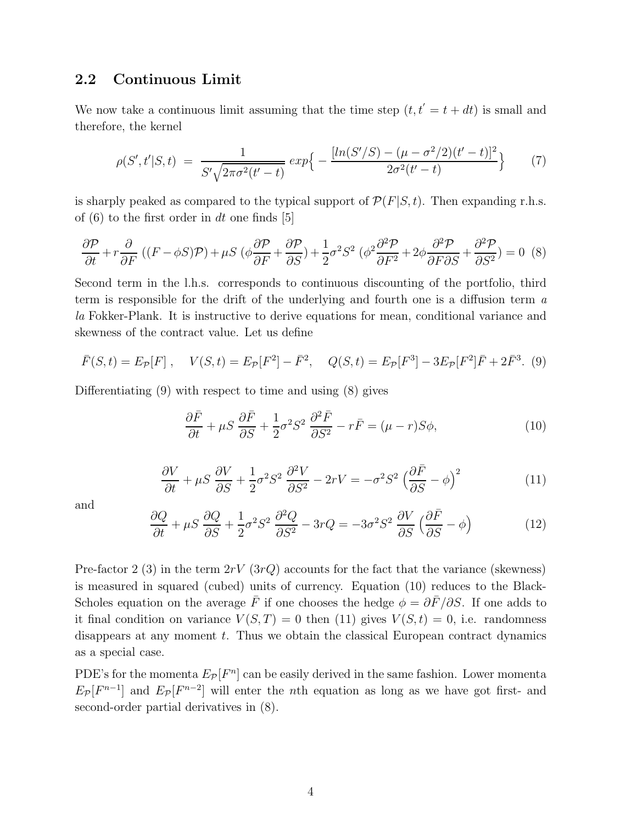#### 2.2 Continuous Limit

We now take a continuous limit assuming that the time step  $(t, t' = t + dt)$  is small and therefore, the kernel

$$
\rho(S', t'|S, t) = \frac{1}{S'\sqrt{2\pi\sigma^2(t'-t)}} exp\Big\{-\frac{[ln(S'/S) - (\mu - \sigma^2/2)(t'-t)]^2}{2\sigma^2(t'-t)}\Big\} \tag{7}
$$

is sharply peaked as compared to the typical support of  $\mathcal{P}(F|S,t)$ . Then expanding r.h.s. of  $(6)$  to the first order in dt one finds [5]

$$
\frac{\partial \mathcal{P}}{\partial t} + r \frac{\partial}{\partial F} \left( (F - \phi S) \mathcal{P} \right) + \mu S \left( \phi \frac{\partial \mathcal{P}}{\partial F} + \frac{\partial \mathcal{P}}{\partial S} \right) + \frac{1}{2} \sigma^2 S^2 \left( \phi^2 \frac{\partial^2 \mathcal{P}}{\partial F^2} + 2 \phi \frac{\partial^2 \mathcal{P}}{\partial F \partial S} + \frac{\partial^2 \mathcal{P}}{\partial S^2} \right) = 0 \tag{8}
$$

Second term in the l.h.s. corresponds to continuous discounting of the portfolio, third term is responsible for the drift of the underlying and fourth one is a diffusion term a la Fokker-Plank. It is instructive to derive equations for mean, conditional variance and skewness of the contract value. Let us define

$$
\bar{F}(S,t) = E_{\mathcal{P}}[F], \quad V(S,t) = E_{\mathcal{P}}[F^2] - \bar{F}^2, \quad Q(S,t) = E_{\mathcal{P}}[F^3] - 3E_{\mathcal{P}}[F^2]\bar{F} + 2\bar{F}^3.
$$
 (9)

Differentiating (9) with respect to time and using (8) gives

$$
\frac{\partial \bar{F}}{\partial t} + \mu S \frac{\partial \bar{F}}{\partial S} + \frac{1}{2} \sigma^2 S^2 \frac{\partial^2 \bar{F}}{\partial S^2} - r \bar{F} = (\mu - r) S \phi,
$$
\n(10)

$$
\frac{\partial V}{\partial t} + \mu S \frac{\partial V}{\partial S} + \frac{1}{2} \sigma^2 S^2 \frac{\partial^2 V}{\partial S^2} - 2rV = -\sigma^2 S^2 \left(\frac{\partial \bar{F}}{\partial S} - \phi\right)^2 \tag{11}
$$

and

$$
\frac{\partial Q}{\partial t} + \mu S \frac{\partial Q}{\partial S} + \frac{1}{2} \sigma^2 S^2 \frac{\partial^2 Q}{\partial S^2} - 3rQ = -3\sigma^2 S^2 \frac{\partial V}{\partial S} \left(\frac{\partial \bar{F}}{\partial S} - \phi\right)
$$
(12)

Pre-factor 2 (3) in the term  $2rV(3rQ)$  accounts for the fact that the variance (skewness) is measured in squared (cubed) units of currency. Equation (10) reduces to the Black-Scholes equation on the average  $\bar{F}$  if one chooses the hedge  $\phi = \partial \bar{F}/\partial S$ . If one adds to it final condition on variance  $V(S,T) = 0$  then (11) gives  $V(S,t) = 0$ , i.e. randomness disappears at any moment t. Thus we obtain the classical European contract dynamics as a special case.

PDE's for the momenta  $E_{\mathcal{P}}[F^n]$  can be easily derived in the same fashion. Lower momenta  $E_{\mathcal{P}}[F^{n-1}]$  and  $E_{\mathcal{P}}[F^{n-2}]$  will enter the nth equation as long as we have got first- and second-order partial derivatives in (8).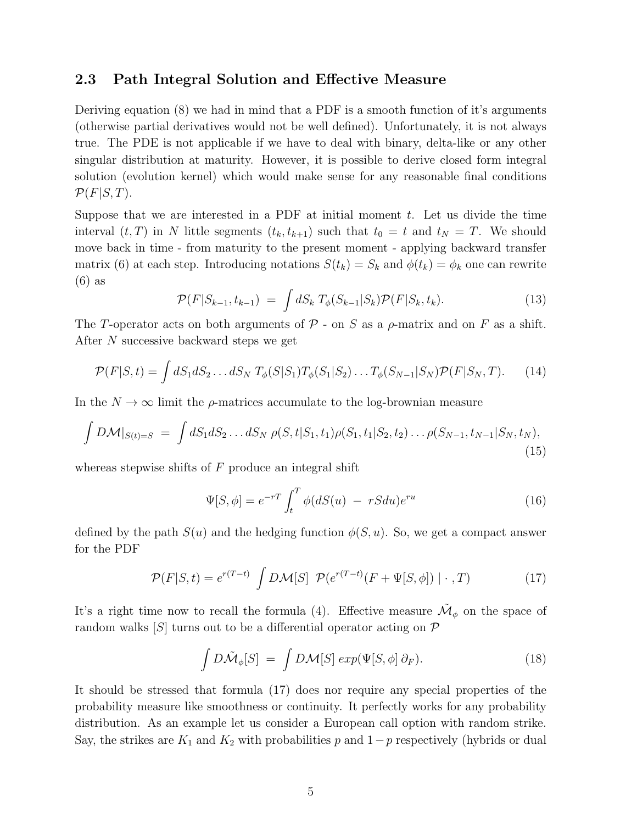#### 2.3 Path Integral Solution and Effective Measure

Deriving equation (8) we had in mind that a PDF is a smooth function of it's arguments (otherwise partial derivatives would not be well defined). Unfortunately, it is not always true. The PDE is not applicable if we have to deal with binary, delta-like or any other singular distribution at maturity. However, it is possible to derive closed form integral solution (evolution kernel) which would make sense for any reasonable final conditions  $\mathcal{P}(F|S,T)$ .

Suppose that we are interested in a PDF at initial moment  $t$ . Let us divide the time interval  $(t, T)$  in N little segments  $(t_k, t_{k+1})$  such that  $t_0 = t$  and  $t_N = T$ . We should move back in time - from maturity to the present moment - applying backward transfer matrix (6) at each step. Introducing notations  $S(t_k) = S_k$  and  $\phi(t_k) = \phi_k$  one can rewrite (6) as

$$
\mathcal{P}(F|S_{k-1}, t_{k-1}) = \int dS_k \ T_{\phi}(S_{k-1}|S_k) \mathcal{P}(F|S_k, t_k).
$$
 (13)

The T-operator acts on both arguments of  $P$  - on S as a  $\rho$ -matrix and on F as a shift. After N successive backward steps we get

$$
\mathcal{P}(F|S,t) = \int dS_1 dS_2 \dots dS_N T_{\phi}(S|S_1) T_{\phi}(S_1|S_2) \dots T_{\phi}(S_{N-1}|S_N) \mathcal{P}(F|S_N, T). \tag{14}
$$

In the  $N \to \infty$  limit the  $\rho$ -matrices accumulate to the log-brownian measure

$$
\int D\mathcal{M}|_{S(t)=S} = \int dS_1 dS_2 \dots dS_N \rho(S, t|S_1, t_1) \rho(S_1, t_1|S_2, t_2) \dots \rho(S_{N-1}, t_{N-1}|S_N, t_N),
$$
\n(15)

whereas stepwise shifts of  $F$  produce an integral shift

$$
\Psi[S,\phi] = e^{-rT} \int_t^T \phi(dS(u) - rSdu)e^{ru}
$$
\n(16)

defined by the path  $S(u)$  and the hedging function  $\phi(S, u)$ . So, we get a compact answer for the PDF

$$
\mathcal{P}(F|S,t) = e^{r(T-t)} \int D\mathcal{M}[S] \ \mathcal{P}(e^{r(T-t)}(F+\Psi[S,\phi]) | \cdot, T) \tag{17}
$$

It's a right time now to recall the formula (4). Effective measure  $\tilde{\mathcal{M}}_{\phi}$  on the space of random walks  $|S|$  turns out to be a differential operator acting on  $\mathcal P$ 

$$
\int D\tilde{\mathcal{M}}_{\phi}[S] = \int D\mathcal{M}[S] \exp(\Psi[S,\phi] \partial_F). \tag{18}
$$

It should be stressed that formula (17) does nor require any special properties of the probability measure like smoothness or continuity. It perfectly works for any probability distribution. As an example let us consider a European call option with random strike. Say, the strikes are  $K_1$  and  $K_2$  with probabilities p and  $1-p$  respectively (hybrids or dual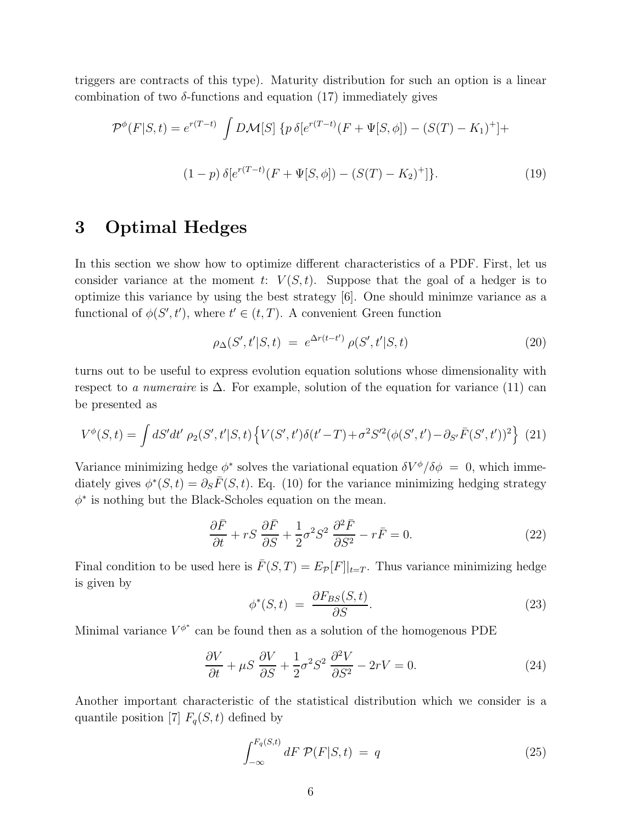triggers are contracts of this type). Maturity distribution for such an option is a linear combination of two  $\delta$ -functions and equation (17) immediately gives

$$
\mathcal{P}^{\phi}(F|S,t) = e^{r(T-t)} \int D\mathcal{M}[S] \{ p \,\delta[e^{r(T-t)}(F+\Psi[S,\phi])-(S(T)-K_1)^+ ] +
$$
  

$$
(1-p) \,\delta[e^{r(T-t)}(F+\Psi[S,\phi])-(S(T)-K_2)^+ ] \}.
$$
 (19)

## 3 Optimal Hedges

In this section we show how to optimize different characteristics of a PDF. First, let us consider variance at the moment t:  $V(S, t)$ . Suppose that the goal of a hedger is to optimize this variance by using the best strategy [6]. One should minimze variance as a functional of  $\phi(S', t')$ , where  $t' \in (t, T)$ . A convenient Green function

$$
\rho_{\Delta}(S', t'|S, t) = e^{\Delta r(t-t')} \rho(S', t'|S, t)
$$
\n(20)

turns out to be useful to express evolution equation solutions whose dimensionality with respect to a numeraire is  $\Delta$ . For example, solution of the equation for variance (11) can be presented as

$$
V^{\phi}(S,t) = \int dS'dt' \rho_2(S',t'|S,t) \left\{ V(S',t')\delta(t'-T) + \sigma^2 S'^2(\phi(S',t') - \partial_{S'}\bar{F}(S',t'))^2 \right\} (21)
$$

Variance minimizing hedge  $\phi^*$  solves the variational equation  $\delta V^{\phi}/\delta \phi = 0$ , which immediately gives  $\phi^*(S,t) = \partial_S \bar{F}(S,t)$ . Eq. (10) for the variance minimizing hedging strategy  $\phi^*$  is nothing but the Black-Scholes equation on the mean.

$$
\frac{\partial \bar{F}}{\partial t} + rS \frac{\partial \bar{F}}{\partial S} + \frac{1}{2} \sigma^2 S^2 \frac{\partial^2 \bar{F}}{\partial S^2} - r\bar{F} = 0.
$$
 (22)

Final condition to be used here is  $\bar{F}(S,T) = E_{\mathcal{P}}[F]|_{t=T}$ . Thus variance minimizing hedge is given by

$$
\phi^*(S,t) = \frac{\partial F_{BS}(S,t)}{\partial S}.
$$
\n(23)

Minimal variance  $V^{\phi^*}$  can be found then as a solution of the homogenous PDE

$$
\frac{\partial V}{\partial t} + \mu S \frac{\partial V}{\partial S} + \frac{1}{2} \sigma^2 S^2 \frac{\partial^2 V}{\partial S^2} - 2rV = 0.
$$
 (24)

Another important characteristic of the statistical distribution which we consider is a quantile position [7]  $F_q(S, t)$  defined by

$$
\int_{-\infty}^{F_q(S,t)} dF \, \mathcal{P}(F|S,t) \, = \, q \tag{25}
$$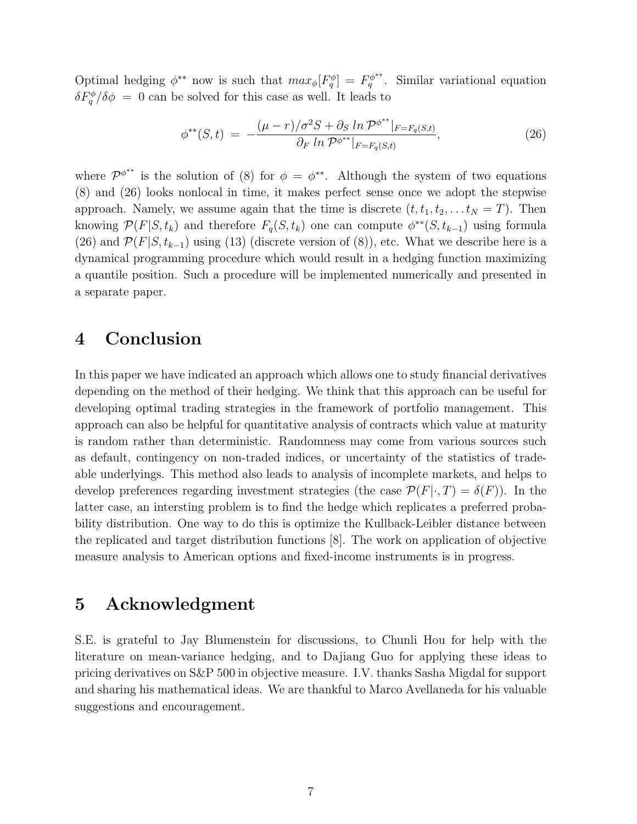Optimal hedging  $\phi^{**}$  now is such that  $max_{\phi} [F_q^{\phi}] = F_q^{\phi^{**}}$  $q^{\varphi^{**}}$ . Similar variational equation  $\delta F_q^{\phi}/\delta \phi = 0$  can be solved for this case as well. It leads to

$$
\phi^{**}(S,t) = -\frac{(\mu - r)/\sigma^2 S + \partial_S \ln \mathcal{P}^{\phi^{**}}|_{F = F_q(S,t)}}{\partial_F \ln \mathcal{P}^{\phi^{**}}|_{F = F_q(S,t)}},\tag{26}
$$

where  $\mathcal{P}^{\phi^{**}}$  is the solution of (8) for  $\phi = \phi^{**}$ . Although the system of two equations (8) and (26) looks nonlocal in time, it makes perfect sense once we adopt the stepwise approach. Namely, we assume again that the time is discrete  $(t, t_1, t_2, \ldots t_N = T)$ . Then knowing  $\mathcal{P}(F|S,t_k)$  and therefore  $F_q(S,t_k)$  one can compute  $\phi^{**}(S,t_{k-1})$  using formula (26) and  $\mathcal{P}(F|S, t_{k-1})$  using (13) (discrete version of (8)), etc. What we describe here is a dynamical programming procedure which would result in a hedging function maximizing a quantile position. Such a procedure will be implemented numerically and presented in a separate paper.

## 4 Conclusion

In this paper we have indicated an approach which allows one to study financial derivatives depending on the method of their hedging. We think that this approach can be useful for developing optimal trading strategies in the framework of portfolio management. This approach can also be helpful for quantitative analysis of contracts which value at maturity is random rather than deterministic. Randomness may come from various sources such as default, contingency on non-traded indices, or uncertainty of the statistics of tradeable underlyings. This method also leads to analysis of incomplete markets, and helps to develop preferences regarding investment strategies (the case  $\mathcal{P}(F|\cdot,T) = \delta(F)$ ). In the latter case, an intersting problem is to find the hedge which replicates a preferred probability distribution. One way to do this is optimize the Kullback-Leibler distance between the replicated and target distribution functions [8]. The work on application of objective measure analysis to American options and fixed-income instruments is in progress.

## 5 Acknowledgment

S.E. is grateful to Jay Blumenstein for discussions, to Chunli Hou for help with the literature on mean-variance hedging, and to Dajiang Guo for applying these ideas to pricing derivatives on S&P 500 in objective measure. I.V. thanks Sasha Migdal for support and sharing his mathematical ideas. We are thankful to Marco Avellaneda for his valuable suggestions and encouragement.